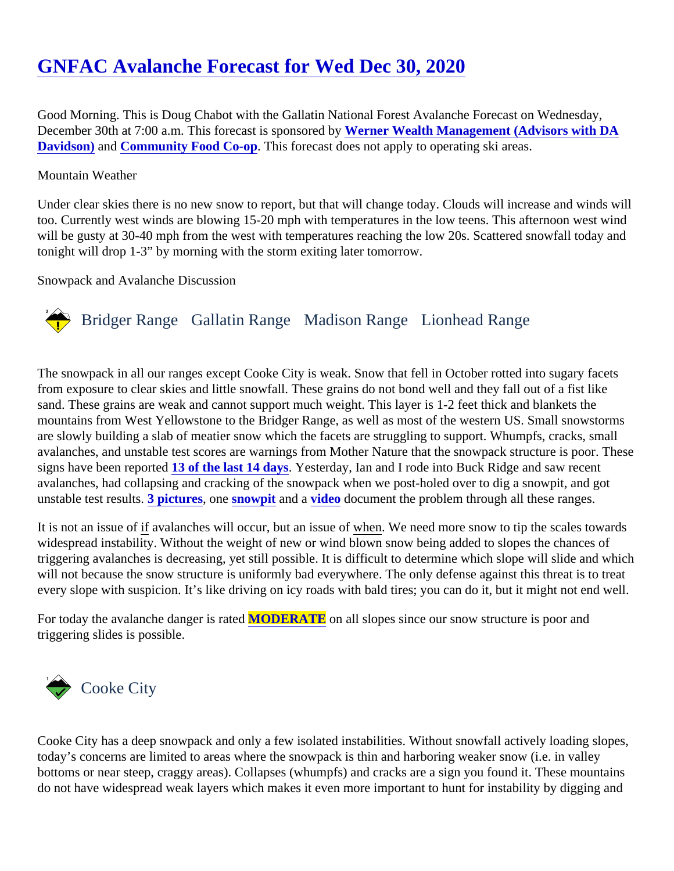# [GNFAC Avalanche Forecast for Wed Dec 30, 202](https://www.mtavalanche.com/forecast/20/12/30)0

Good Morning. This is Doug Chabot with the Gallatin National Forest Avalanche Forecast on Wednesday, December 30th at 7:00 a.m. This forecast is sponsored by Wealth Management (Advisors with DA [Davidson\)](http://www.wernerwealthmanagement.dadavidsonfa.com/) an[dCommunity Food Co-op](https://www.bozo.coop/). This forecast does not apply to operating ski areas.

#### Mountain Weather

Under clear skies there is no new snow to report, but that will change today. Clouds will increase and winds w too. Currently west winds are blowing 15-20 mph with temperatures in the low teens. This afternoon west win will be gusty at 30-40 mph from the west with temperatures reaching the low 20s. Scattered snowfall today ar tonight will drop 1-3" by morning with the storm exiting later tomorrow.

Snowpack and Avalanche Discussion

## Bridger Range Gallatin Range Madison RangeLionhead Range

The snowpack in all our ranges except Cooke City is weak. Snow that fell in October rotted into sugary facets from exposure to clear skies and little snowfall. These grains do not bond well and they fall out of a fist like sand. These grains are weak and cannot support much weight. This layer is 1-2 feet thick and blankets the mountains from West Yellowstone to the Bridger Range, as well as most of the western US. Small snowstorm are slowly building a slab of meatier snow which the facets are struggling to support. Whumpfs, cracks, small avalanches, and unstable test scores are warnings from Mother Nature that the snowpack structure is poor. The signs have been reported of the last 14 daysYesterday, Ian and I rode into Buck Ridge and saw recent avalanches, had collapsing and cracking of the snowpack when we post-holed over to dig a snowpit, and got unstable test result<sup>3</sup> pictures, on[e snowpit](https://www.mtavalanche.com/images/20/3rd-yellowmule) and avideo document the problem through all these ranges.

It is not an issue of avalanches will occur, but an issue of en. We need more snow to tip the scales towards widespread instability. Without the weight of new or wind blown snow being added to slopes the chances of triggering avalanches is decreasing, yet still possible. It is difficult to determine which slope will slide and which will not because the snow structure is uniformly bad everywhere. The only defense against this threat is to tre every slope with suspicion. It's like driving on icy roads with bald tires; you can do it, but it might not end well.

For today the avalanche danger is raMODERATE on all slopes since our snow structure is poor and triggering slides is possible.

## Cooke City

Cooke City has a deep snowpack and only a few isolated instabilities. Without snowfall actively loading slope today's concerns are limited to areas where the snowpack is thin and harboring weaker snow (i.e. in valley bottoms or near steep, craggy areas). Collapses (whumpfs) and cracks are a sign you found it. These mounta do not have widespread weak layers which makes it even more important to hunt for instability by digging and